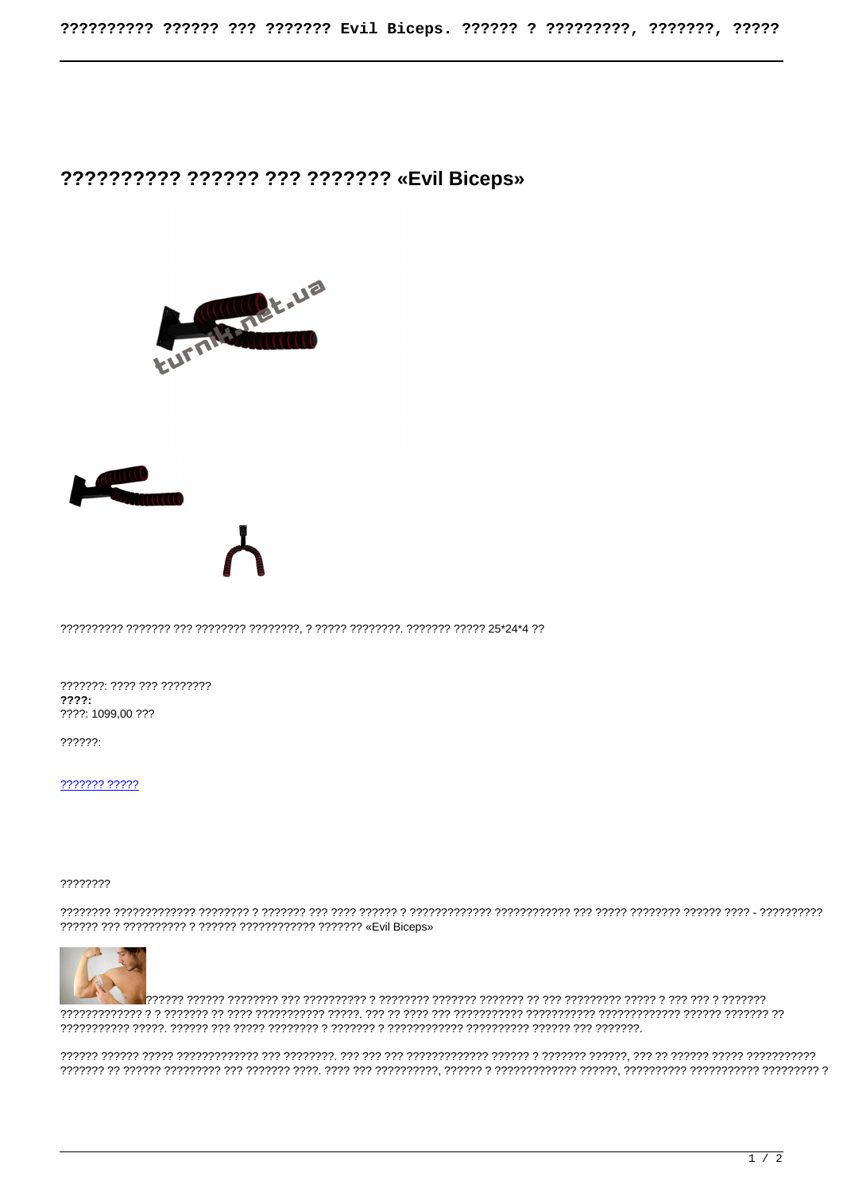## ?????????? ?????? ??? ???????? «Evil Biceps»





???????: ???? ??? ?????????  $777?$ ????: 1099,00 ???

 $??\frac{?????.}$ 

 $77777777770$ 

## ????????



, 1999) איז דיר דיר די היריד הרווי היר די היריד הירידי הירידי הירידי די הירידי הירידי היר הירידי הירידי הירידי